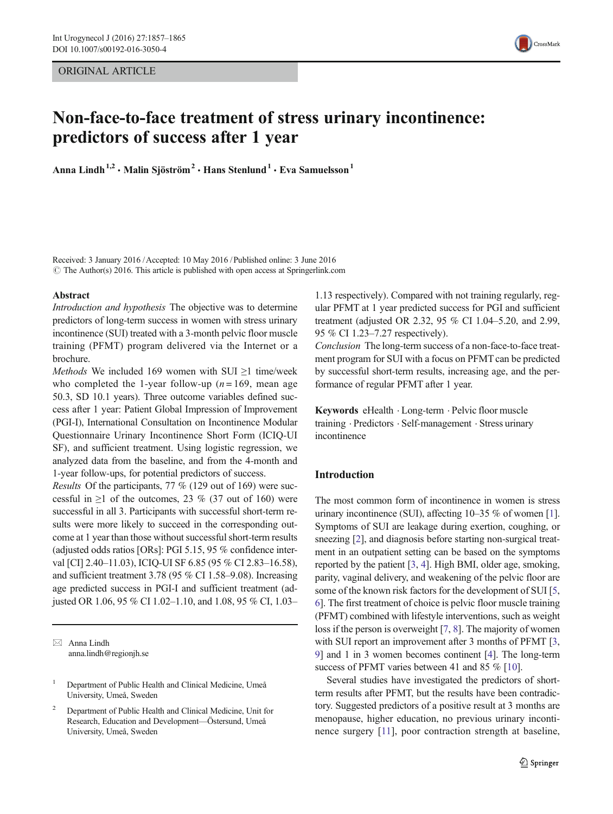ORIGINAL ARTICLE



# Non-face-to-face treatment of stress urinary incontinence: predictors of success after 1 year

Anna Lindh<sup>1,2</sup> · Malin Sjöström<sup>2</sup> · Hans Stenlund<sup>1</sup> · Eva Samuelsson<sup>1</sup>

Received: 3 January 2016 /Accepted: 10 May 2016 / Published online: 3 June 2016  $\odot$  The Author(s) 2016. This article is published with open access at Springerlink.com

#### Abstract

Introduction and hypothesis The objective was to determine predictors of long-term success in women with stress urinary incontinence (SUI) treated with a 3-month pelvic floor muscle training (PFMT) program delivered via the Internet or a brochure.

Methods We included 169 women with SUI  $\geq$ 1 time/week who completed the 1-year follow-up  $(n = 169)$ , mean age 50.3, SD 10.1 years). Three outcome variables defined success after 1 year: Patient Global Impression of Improvement (PGI-I), International Consultation on Incontinence Modular Questionnaire Urinary Incontinence Short Form (ICIQ-UI SF), and sufficient treatment. Using logistic regression, we analyzed data from the baseline, and from the 4-month and 1-year follow-ups, for potential predictors of success.

Results Of the participants, 77 % (129 out of 169) were successful in  $\geq 1$  of the outcomes, 23 % (37 out of 160) were successful in all 3. Participants with successful short-term results were more likely to succeed in the corresponding outcome at 1 year than those without successful short-term results (adjusted odds ratios [ORs]: PGI 5.15, 95 % confidence interval [CI] 2.40–11.03), ICIQ-UI SF 6.85 (95 % CI 2.83–16.58), and sufficient treatment 3.78 (95 % CI 1.58–9.08). Increasing age predicted success in PGI-I and sufficient treatment (adjusted OR 1.06, 95 % CI 1.02–1.10, and 1.08, 95 % CI, 1.03–

 $\boxtimes$  Anna Lindh anna.lindh@regionjh.se

<sup>1</sup> Department of Public Health and Clinical Medicine, Umeå University, Umeå, Sweden

<sup>2</sup> Department of Public Health and Clinical Medicine, Unit for Research, Education and Development—Östersund, Umeå University, Umeå, Sweden

1.13 respectively). Compared with not training regularly, regular PFMT at 1 year predicted success for PGI and sufficient treatment (adjusted OR 2.32, 95 % CI 1.04–5.20, and 2.99, 95 % CI 1.23–7.27 respectively).

Conclusion The long-term success of a non-face-to-face treatment program for SUI with a focus on PFMT can be predicted by successful short-term results, increasing age, and the performance of regular PFMT after 1 year.

Keywords eHealth . Long-term . Pelvic floor muscle training . Predictors . Self-management . Stress urinary incontinence

### Introduction

The most common form of incontinence in women is stress urinary incontinence (SUI), affecting 10–35 % of women [[1\]](#page-7-0). Symptoms of SUI are leakage during exertion, coughing, or sneezing [[2\]](#page-7-0), and diagnosis before starting non-surgical treatment in an outpatient setting can be based on the symptoms reported by the patient [\[3](#page-7-0), [4](#page-7-0)]. High BMI, older age, smoking, parity, vaginal delivery, and weakening of the pelvic floor are some of the known risk factors for the development of SUI [[5,](#page-7-0) [6\]](#page-7-0). The first treatment of choice is pelvic floor muscle training (PFMT) combined with lifestyle interventions, such as weight loss if the person is overweight [[7,](#page-7-0) [8](#page-7-0)]. The majority of women with SUI report an improvement after 3 months of PFMT [[3,](#page-7-0) [9\]](#page-7-0) and 1 in 3 women becomes continent [[4\]](#page-7-0). The long-term success of PFMT varies between 41 and 85 % [[10\]](#page-7-0).

Several studies have investigated the predictors of shortterm results after PFMT, but the results have been contradictory. Suggested predictors of a positive result at 3 months are menopause, higher education, no previous urinary incontinence surgery [[11](#page-7-0)], poor contraction strength at baseline,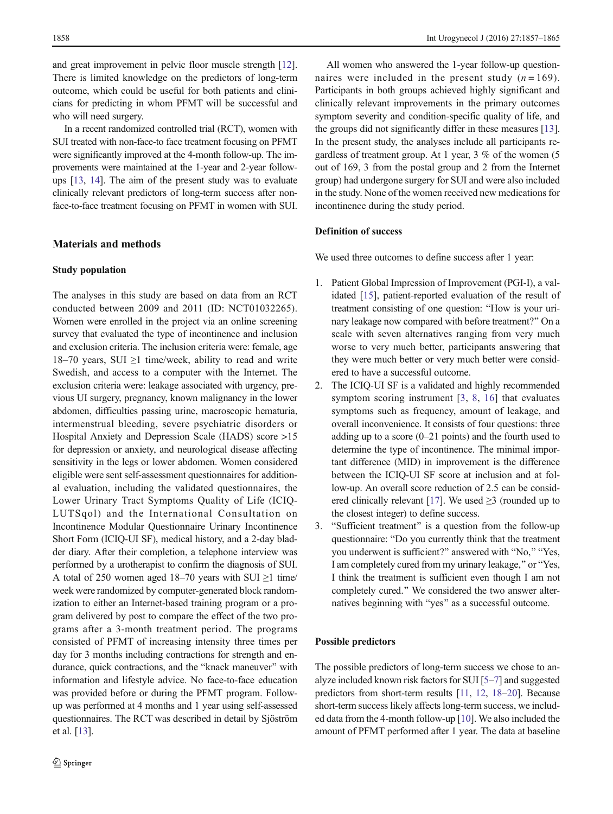and great improvement in pelvic floor muscle strength [[12\]](#page-7-0). There is limited knowledge on the predictors of long-term outcome, which could be useful for both patients and clinicians for predicting in whom PFMT will be successful and who will need surgery.

In a recent randomized controlled trial (RCT), women with SUI treated with non-face-to face treatment focusing on PFMT were significantly improved at the 4-month follow-up. The improvements were maintained at the 1-year and 2-year followups [\[13](#page-7-0), [14](#page-7-0)]. The aim of the present study was to evaluate clinically relevant predictors of long-term success after nonface-to-face treatment focusing on PFMT in women with SUI.

### Materials and methods

#### Study population

The analyses in this study are based on data from an RCT conducted between 2009 and 2011 (ID: NCT01032265). Women were enrolled in the project via an online screening survey that evaluated the type of incontinence and inclusion and exclusion criteria. The inclusion criteria were: female, age 18–70 years, SUI  $\geq$ 1 time/week, ability to read and write Swedish, and access to a computer with the Internet. The exclusion criteria were: leakage associated with urgency, previous UI surgery, pregnancy, known malignancy in the lower abdomen, difficulties passing urine, macroscopic hematuria, intermenstrual bleeding, severe psychiatric disorders or Hospital Anxiety and Depression Scale (HADS) score >15 for depression or anxiety, and neurological disease affecting sensitivity in the legs or lower abdomen. Women considered eligible were sent self-assessment questionnaires for additional evaluation, including the validated questionnaires, the Lower Urinary Tract Symptoms Quality of Life (ICIQ-LUTSqol) and the International Consultation on Incontinence Modular Questionnaire Urinary Incontinence Short Form (ICIQ-UI SF), medical history, and a 2-day bladder diary. After their completion, a telephone interview was performed by a urotherapist to confirm the diagnosis of SUI. A total of 250 women aged 18–70 years with SUI ≥1 time/ week were randomized by computer-generated block randomization to either an Internet-based training program or a program delivered by post to compare the effect of the two programs after a 3-month treatment period. The programs consisted of PFMT of increasing intensity three times per day for 3 months including contractions for strength and endurance, quick contractions, and the "knack maneuver" with information and lifestyle advice. No face-to-face education was provided before or during the PFMT program. Followup was performed at 4 months and 1 year using self-assessed questionnaires. The RCT was described in detail by Sjöström et al. [[13](#page-7-0)].

All women who answered the 1-year follow-up questionnaires were included in the present study  $(n = 169)$ . Participants in both groups achieved highly significant and clinically relevant improvements in the primary outcomes symptom severity and condition-specific quality of life, and the groups did not significantly differ in these measures [[13\]](#page-7-0). In the present study, the analyses include all participants regardless of treatment group. At 1 year, 3 % of the women (5 out of 169, 3 from the postal group and 2 from the Internet group) had undergone surgery for SUI and were also included in the study. None of the women received new medications for incontinence during the study period.

### Definition of success

We used three outcomes to define success after 1 year:

- 1. Patient Global Impression of Improvement (PGI-I), a validated [\[15\]](#page-7-0), patient-reported evaluation of the result of treatment consisting of one question: "How is your urinary leakage now compared with before treatment?" On a scale with seven alternatives ranging from very much worse to very much better, participants answering that they were much better or very much better were considered to have a successful outcome.
- 2. The ICIQ-UI SF is a validated and highly recommended symptom scoring instrument [\[3,](#page-7-0) [8](#page-7-0), [16\]](#page-7-0) that evaluates symptoms such as frequency, amount of leakage, and overall inconvenience. It consists of four questions: three adding up to a score  $(0-21)$  points) and the fourth used to determine the type of incontinence. The minimal important difference (MID) in improvement is the difference between the ICIQ-UI SF score at inclusion and at follow-up. An overall score reduction of 2.5 can be consid-ered clinically relevant [[17](#page-7-0)]. We used  $\geq$ 3 (rounded up to the closest integer) to define success.
- 3. "Sufficient treatment" is a question from the follow-up questionnaire: "Do you currently think that the treatment you underwent is sufficient?" answered with "No," "Yes, I am completely cured from my urinary leakage," or "Yes, I think the treatment is sufficient even though I am not completely cured." We considered the two answer alternatives beginning with "yes" as a successful outcome.

#### Possible predictors

The possible predictors of long-term success we chose to analyze included known risk factors for SUI [\[5](#page-7-0)–[7\]](#page-7-0) and suggested predictors from short-term results [[11](#page-7-0), [12](#page-7-0), [18](#page-7-0)–[20\]](#page-8-0). Because short-term success likely affects long-term success, we included data from the 4-month follow-up [[10](#page-7-0)]. We also included the amount of PFMT performed after 1 year. The data at baseline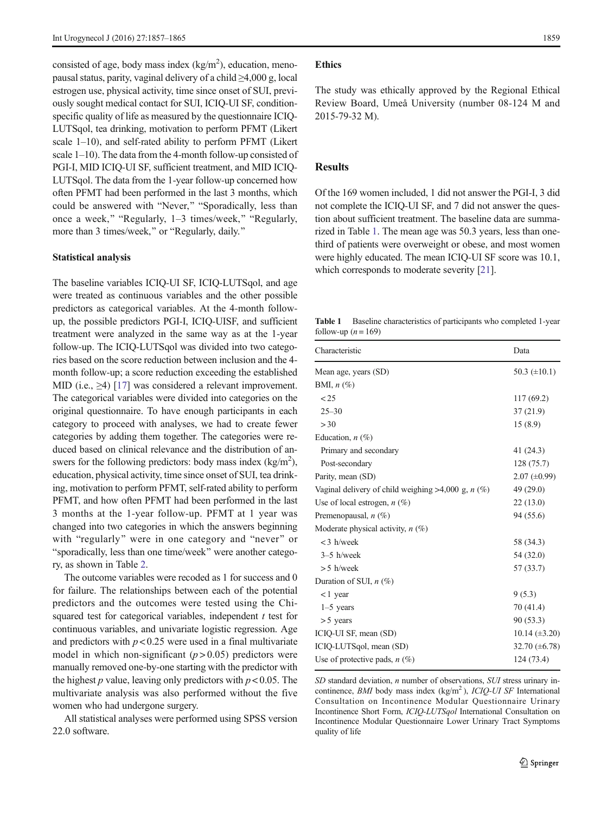consisted of age, body mass index  $(kg/m<sup>2</sup>)$ , education, menopausal status, parity, vaginal delivery of a child  $\geq$ 4,000 g, local estrogen use, physical activity, time since onset of SUI, previously sought medical contact for SUI, ICIQ-UI SF, conditionspecific quality of life as measured by the questionnaire ICIQ-LUTSqol, tea drinking, motivation to perform PFMT (Likert scale 1–10), and self-rated ability to perform PFMT (Likert scale 1–10). The data from the 4-month follow-up consisted of PGI-I, MID ICIQ-UI SF, sufficient treatment, and MID ICIQ-LUTSqol. The data from the 1-year follow-up concerned how often PFMT had been performed in the last 3 months, which could be answered with "Never," "Sporadically, less than once a week," "Regularly,  $1-3$  times/week," "Regularly, more than 3 times/week," or "Regularly, daily."

#### Statistical analysis

The baseline variables ICIQ-UI SF, ICIQ-LUTSqol, and age were treated as continuous variables and the other possible predictors as categorical variables. At the 4-month followup, the possible predictors PGI-I, ICIQ-UISF, and sufficient treatment were analyzed in the same way as at the 1-year follow-up. The ICIQ-LUTSqol was divided into two categories based on the score reduction between inclusion and the 4 month follow-up; a score reduction exceeding the established MID (i.e., ≥4) [\[17](#page-7-0)] was considered a relevant improvement. The categorical variables were divided into categories on the original questionnaire. To have enough participants in each category to proceed with analyses, we had to create fewer categories by adding them together. The categories were reduced based on clinical relevance and the distribution of answers for the following predictors: body mass index  $(kg/m<sup>2</sup>)$ , education, physical activity, time since onset of SUI, tea drinking, motivation to perform PFMT, self-rated ability to perform PFMT, and how often PFMT had been performed in the last 3 months at the 1-year follow-up. PFMT at 1 year was changed into two categories in which the answers beginning with "regularly" were in one category and "never" or "sporadically, less than one time/week" were another category, as shown in Table [2.](#page-5-0)

The outcome variables were recoded as 1 for success and 0 for failure. The relationships between each of the potential predictors and the outcomes were tested using the Chisquared test for categorical variables, independent  $t$  test for continuous variables, and univariate logistic regression. Age and predictors with  $p < 0.25$  were used in a final multivariate model in which non-significant  $(p > 0.05)$  predictors were manually removed one-by-one starting with the predictor with the highest p value, leaving only predictors with  $p < 0.05$ . The multivariate analysis was also performed without the five women who had undergone surgery.

All statistical analyses were performed using SPSS version 22.0 software.

#### Ethics

The study was ethically approved by the Regional Ethical Review Board, Umeå University (number 08-124 M and 2015-79-32 M).

# Results

Of the 169 women included, 1 did not answer the PGI-I, 3 did not complete the ICIQ-UI SF, and 7 did not answer the question about sufficient treatment. The baseline data are summarized in Table 1. The mean age was 50.3 years, less than onethird of patients were overweight or obese, and most women were highly educated. The mean ICIQ-UI SF score was 10.1, which corresponds to moderate severity [\[21\]](#page-8-0).

Table 1 Baseline characteristics of participants who completed 1-year follow-up  $(n = 169)$ 

| Characteristic                                          | Data                 |
|---------------------------------------------------------|----------------------|
| Mean age, years (SD)                                    | 50.3 $(\pm 10.1)$    |
| BMI, $n$ (%)                                            |                      |
| < 25                                                    | 117 (69.2)           |
| $25 - 30$                                               | 37(21.9)             |
| >30                                                     | 15(8.9)              |
| Education, $n$ (%)                                      |                      |
| Primary and secondary                                   | 41 (24.3)            |
| Post-secondary                                          | 128 (75.7)           |
| Parity, mean (SD)                                       | $2.07 \ (\pm 0.99)$  |
| Vaginal delivery of child weighing $>4,000$ g, n $(\%)$ | 49 (29.0)            |
| Use of local estrogen, $n$ (%)                          | 22(13.0)             |
| Premenopausal, $n$ (%)                                  | 94 (55.6)            |
| Moderate physical activity, $n$ (%)                     |                      |
| $<$ 3 h/week                                            | 58 (34.3)            |
| $3-5$ h/week                                            | 54 (32.0)            |
| $> 5$ h/week                                            | 57 (33.7)            |
| Duration of SUI, $n$ (%)                                |                      |
| $<$ 1 year                                              | 9(5.3)               |
| $1-5$ years                                             | 70 (41.4)            |
| $> 5$ years                                             | 90 (53.3)            |
| ICIQ-UI SF, mean (SD)                                   | $10.14 \ (\pm 3.20)$ |
| ICIQ-LUTSqol, mean (SD)                                 | 32.70 $(\pm 6.78)$   |
| Use of protective pads, $n$ (%)                         | 124 (73.4)           |

SD standard deviation, *n* number of observations, SUI stress urinary incontinence, *BMI* body mass index  $(kg/m<sup>2</sup>)$ , *ICIQ-UI SF* International Consultation on Incontinence Modular Questionnaire Urinary Incontinence Short Form, ICIQ-LUTSqol International Consultation on Incontinence Modular Questionnaire Lower Urinary Tract Symptoms quality of life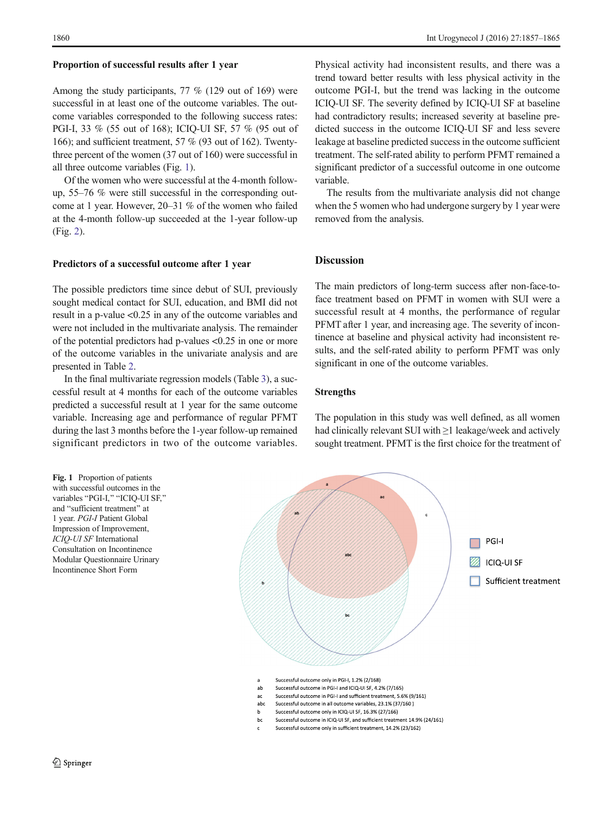#### Proportion of successful results after 1 year

Among the study participants, 77 % (129 out of 169) were successful in at least one of the outcome variables. The outcome variables corresponded to the following success rates: PGI-I, 33 % (55 out of 168); ICIQ-UI SF, 57 % (95 out of 166); and sufficient treatment, 57 % (93 out of 162). Twentythree percent of the women (37 out of 160) were successful in all three outcome variables (Fig. 1).

Of the women who were successful at the 4-month followup, 55–76 % were still successful in the corresponding outcome at 1 year. However, 20–31 % of the women who failed at the 4-month follow-up succeeded at the 1-year follow-up (Fig. [2](#page-4-0)).

### Predictors of a successful outcome after 1 year

The possible predictors time since debut of SUI, previously sought medical contact for SUI, education, and BMI did not result in a p-value <0.25 in any of the outcome variables and were not included in the multivariate analysis. The remainder of the potential predictors had p-values <0.25 in one or more of the outcome variables in the univariate analysis and are presented in Table [2.](#page-5-0)

In the final multivariate regression models (Table [3\)](#page-6-0), a successful result at 4 months for each of the outcome variables predicted a successful result at 1 year for the same outcome variable. Increasing age and performance of regular PFMT during the last 3 months before the 1-year follow-up remained significant predictors in two of the outcome variables.



Physical activity had inconsistent results, and there was a trend toward better results with less physical activity in the outcome PGI-I, but the trend was lacking in the outcome ICIQ-UI SF. The severity defined by ICIQ-UI SF at baseline had contradictory results; increased severity at baseline predicted success in the outcome ICIQ-UI SF and less severe leakage at baseline predicted success in the outcome sufficient treatment. The self-rated ability to perform PFMT remained a significant predictor of a successful outcome in one outcome variable.

The results from the multivariate analysis did not change when the 5 women who had undergone surgery by 1 year were removed from the analysis.

#### **Discussion**

The main predictors of long-term success after non-face-toface treatment based on PFMT in women with SUI were a successful result at 4 months, the performance of regular PFMT after 1 year, and increasing age. The severity of incontinence at baseline and physical activity had inconsistent results, and the self-rated ability to perform PFMT was only significant in one of the outcome variables.

## Strengths

The population in this study was well defined, as all women had clinically relevant SUI with ≥1 leakage/week and actively sought treatment. PFMT is the first choice for the treatment of



- Successful outcome in PGI-I and sufficient treatment, 5.6% (9/161)
- abc Successful outcome in all outcome variables, 23.1% (37/160)
- $h$ Successful outcome only in ICIQ-UI SF, 16.3% (27/166)
- Successful outcome in ICIQ-UI SF, and sufficient treatment 14.9% (24/161) bc
- Successful outcome only in sufficient treatment. 14.2% (23/162)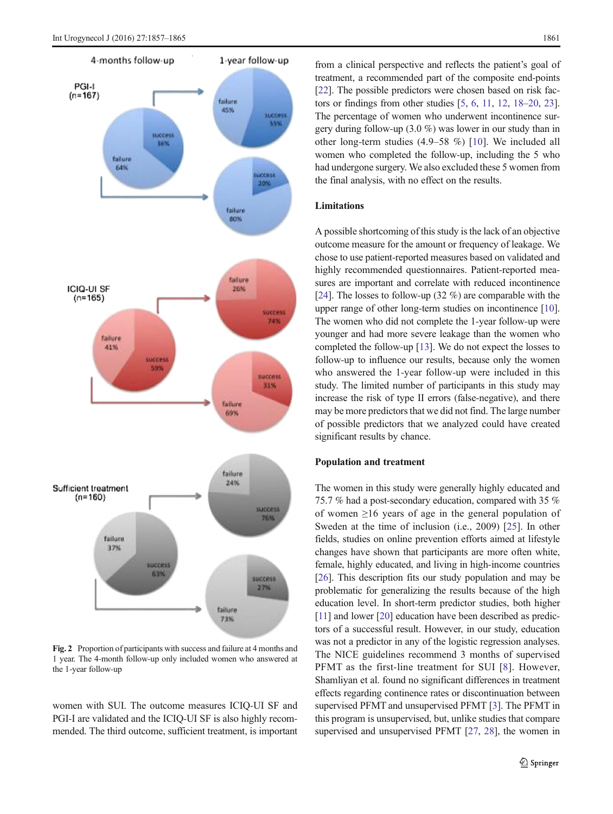<span id="page-4-0"></span>

Fig. 2 Proportion of participants with success and failure at 4 months and 1 year. The 4-month follow-up only included women who answered at the 1-year follow-up

women with SUI. The outcome measures ICIQ-UI SF and PGI-I are validated and the ICIQ-UI SF is also highly recommended. The third outcome, sufficient treatment, is important

from a clinical perspective and reflects the patient's goal of treatment, a recommended part of the composite end-points [\[22](#page-8-0)]. The possible predictors were chosen based on risk factors or findings from other studies [[5](#page-7-0), [6,](#page-7-0) [11,](#page-7-0) [12](#page-7-0), [18](#page-7-0)–[20](#page-8-0), [23\]](#page-8-0). The percentage of women who underwent incontinence surgery during follow-up (3.0 %) was lower in our study than in other long-term studies (4.9–58 %) [\[10](#page-7-0)]. We included all women who completed the follow-up, including the 5 who had undergone surgery. We also excluded these 5 women from the final analysis, with no effect on the results.

## Limitations

A possible shortcoming of this study is the lack of an objective outcome measure for the amount or frequency of leakage. We chose to use patient-reported measures based on validated and highly recommended questionnaires. Patient-reported measures are important and correlate with reduced incontinence [\[24](#page-8-0)]. The losses to follow-up  $(32 \%)$  are comparable with the upper range of other long-term studies on incontinence [[10\]](#page-7-0). The women who did not complete the 1-year follow-up were younger and had more severe leakage than the women who completed the follow-up [[13](#page-7-0)]. We do not expect the losses to follow-up to influence our results, because only the women who answered the 1-year follow-up were included in this study. The limited number of participants in this study may increase the risk of type II errors (false-negative), and there may be more predictors that we did not find. The large number of possible predictors that we analyzed could have created significant results by chance.

#### Population and treatment

The women in this study were generally highly educated and 75.7 % had a post-secondary education, compared with 35 % of women ≥16 years of age in the general population of Sweden at the time of inclusion (i.e., 2009) [[25\]](#page-8-0). In other fields, studies on online prevention efforts aimed at lifestyle changes have shown that participants are more often white, female, highly educated, and living in high-income countries [\[26](#page-8-0)]. This description fits our study population and may be problematic for generalizing the results because of the high education level. In short-term predictor studies, both higher [\[11\]](#page-7-0) and lower [\[20\]](#page-8-0) education have been described as predictors of a successful result. However, in our study, education was not a predictor in any of the logistic regression analyses. The NICE guidelines recommend 3 months of supervised PFMT as the first-line treatment for SUI [[8](#page-7-0)]. However, Shamliyan et al. found no significant differences in treatment effects regarding continence rates or discontinuation between supervised PFMT and unsupervised PFMT [[3](#page-7-0)]. The PFMT in this program is unsupervised, but, unlike studies that compare supervised and unsupervised PFMT [\[27,](#page-8-0) [28](#page-8-0)], the women in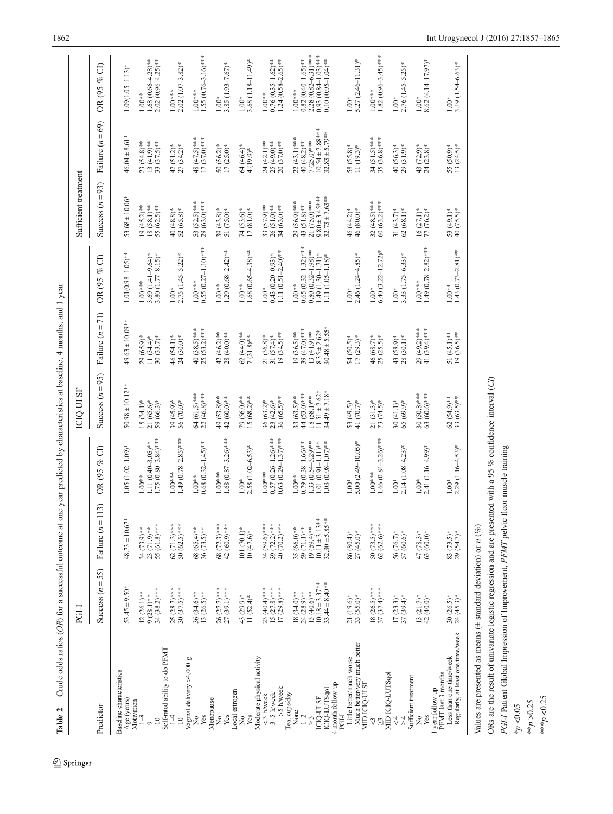| Ċ                    |  |
|----------------------|--|
| l                    |  |
|                      |  |
|                      |  |
|                      |  |
|                      |  |
|                      |  |
| $\ddot{\phantom{a}}$ |  |
|                      |  |
| i                    |  |
|                      |  |
| j                    |  |
|                      |  |
|                      |  |
|                      |  |
| ļ                    |  |
|                      |  |
|                      |  |
|                      |  |
| í<br>Ì               |  |
| 1<br>ť<br>j          |  |
| ābi<br>I             |  |

<span id="page-5-0"></span>

|                                                                                                         | PGI-I                                                                                   |                                                                                           |                                                                                                                  | ICIO-UI SF                                                                           |                                                                                        |                                                                                                                  | Sufficient treatment                                                                     |                                                                                          |                                                                                                                     |
|---------------------------------------------------------------------------------------------------------|-----------------------------------------------------------------------------------------|-------------------------------------------------------------------------------------------|------------------------------------------------------------------------------------------------------------------|--------------------------------------------------------------------------------------|----------------------------------------------------------------------------------------|------------------------------------------------------------------------------------------------------------------|------------------------------------------------------------------------------------------|------------------------------------------------------------------------------------------|---------------------------------------------------------------------------------------------------------------------|
| Predictor                                                                                               | Success $(n = 55)$                                                                      | $\widehat{13}$<br>Failure $(n=1)$                                                         | $\widehat{\sigma}$<br>OR (95 %                                                                                   | Success $(n = 95)$                                                                   | Failure $(n = 71)$                                                                     | ට්<br>of<br>OR (95                                                                                               | Success $(n=93)$                                                                         | Failure $(n = 69)$                                                                       | ට්<br>OR (95 %                                                                                                      |
| Baseline characteristics<br>Age (years)<br>Motivation                                                   | $53.45 \pm 9.50*$                                                                       | $48.73 \pm 10.67*$                                                                        | $1.05(1.02-1.09)$ *                                                                                              | $50.98 \pm 10.12***$                                                                 | $49.63 \pm 10.09***$                                                                   | $1.01(0.98 - 1.05)$ **                                                                                           | $53.68 \pm 10.06*$                                                                       | $46.04 \pm 8.61*$                                                                        | $1.09(1.05 - 1.13)$ *                                                                                               |
| $1 - 8$<br>$\approx$<br>$\circ$                                                                         | 34 (38.2)***<br>12 (26.1)**<br>$9(28.1)***$                                             | 55 (61.8)***<br>34 (73.9)**<br>23 (71.9)**                                                | $1.75(0.80 - 3.84)$ ***<br>$1.11 (0.40 - 3.05)$ **<br>$1.00^{**}$                                                | 21 (65.6)*<br>$59(66.3)$ *<br>$15(34.1)^{*}$                                         | $11(34.4)$ *<br>$30(33.7)$ *<br>$29(65.9)$ *                                           | $3.80(1.77 - 8.15)*$<br>$3.69(1.41 - 9.64)$ *<br>$1.00***$                                                       | $19(45.2)***$<br>$18(58.1)***$<br>55 (62.5)**                                            | 23 (54.8)**<br>13 (41.9)**<br>33 (37.5)**                                                | $.68(0.66 - 4.28)$ **<br>$2.02(0.96-4.25)$ **<br>1.00**                                                             |
| Self-rated ability to do PFMT<br>$\sqrt{2}$<br>$\approx$                                                | 25 (28.7)***<br>$30(37.5)***$                                                           | $62(71.3)***$<br>$50(62.5)***$                                                            | $1.49(0.78-2.85)***$<br>$1.00***$                                                                                | 39 (45.9)*<br>56 (70.0)*                                                             | 24 (30.0)*<br>46 (54.1)*                                                               | $2.75$ (1.45-5.22)*<br>$1.00*$                                                                                   | $40(48.8)*$<br>52 (65.8)*                                                                | $27(34.2)$ *<br>$42(51.2)$ *                                                             | $2.02$ (1.07-3.82)*<br>$1.00***$                                                                                    |
| Vaginal delivery >4,000 g<br>Yes<br>ż                                                                   | 36 (34.6)**<br>$13 (26.5)$ **                                                           | 68 (65.4)**<br>$36(73.5)$ **                                                              | $0.68(0.32 - 1.45)$ **<br>$1.00**$                                                                               | 64 (61.5)***<br>22 (46.8)****                                                        | 40 (38.5)***<br>$25(53.2)***$                                                          | $0.55(0.27 - 1.10)$ ***<br>$1.00***$                                                                             | 53 (52.5)***<br>29 (63.0)***                                                             | 48 (47.5)***<br>$17(37.0)***$                                                            | 55 $(0.76 - 3.16)$ ***<br>$1.00***$                                                                                 |
| Menopause<br>Yes<br>ż                                                                                   | 26 (27.7)***<br>27 (39.1)***                                                            | 68 (72.3)***<br>42 (60.9)***                                                              | $1.68(0.87 - 3.26)$ ***<br>$1.00***$                                                                             | 49 (53.8)**<br>42 (60.0)**                                                           | 42 (46.2)**<br>28 (40.0)**                                                             | $1.29(0.68 - 2.42)$ **<br>$1.00**$                                                                               | $39(43.8)*$<br>51 (75.0)*                                                                | $\frac{50}{17} \frac{(56.2)^*}{(25.0)^*}$                                                | $3.85(1.93 - 7.67)$ *<br>$1.00\,^*$                                                                                 |
| Local estrogen<br>Yes<br>$\frac{1}{2}$                                                                  | 43 (29.9)*<br>11 $(52.4)$ *                                                             | 101 (70.1)*<br>$10(47.6)*$                                                                | $2.58(1.02 - 6.53)*$<br>$1.00*$                                                                                  | 79 (56.0)**<br>$15(68.2)$ **                                                         | $62(44.0)$ **<br>$7(31.8)$ **                                                          | $1.68(0.65 - 4.38)$ **<br>$1.00**$                                                                               | 74 (53.6)*<br>17 (81.0)*                                                                 | 64 (46.4)*<br>4 (19.9)*                                                                  | $3.68(1.18 - 11.49)$ *<br>$1.00*$                                                                                   |
| Moderate physical activity<br>>5 h/week<br>$3-5$ h/week<br>$<$ 3 h/week                                 | 23 (40.4)***<br>$15 (27.8)***$<br>$17(29.8)***$                                         | 39 (72.2)***<br>40 (70.2)***<br>34 (59.6)***                                              | $0.57(0.26 - 1.26)$ ***<br>$0.63(0.29 - 1.37)$ ***<br>$1.00***$                                                  | 36 (65.5)**<br>$36(63.2)^{*}$<br>23 (42.6)*                                          | $(34.5)$ **<br>31 $(57.4)$ *<br>21 (36.8)*                                             | 1.11 $(0.51 - 2.40)$ **<br>$0.43(0.20-0.93)$ *<br>$1.00*$                                                        | 33 $(57.9)***$<br>26 $(51.0)***$<br>34 (63.0)**                                          | 24 (42.1)**<br>25 (49.0)**<br>20 (37.0)**                                                | $1.24$ (0.58-2.65)**<br>$0.76$ $(0.35-1.62)$ **<br>$1.00**$                                                         |
| 4-month follow-up<br>ICIO-LUTSqol<br>Tea, cups/day<br><b>ICIO-UI SF</b><br>None<br>$1-2$<br>$\tilde{c}$ | $10.18 \pm 3.37***$<br>$33.44 \pm 8.40***$<br>13 (40.6)**<br>24 (28.9)**<br>18 (34.0)** | $32.30 \pm 5.85***$<br>$10.11 \pm 3.13***$<br>$19(59.4)***$<br>35 (66.0)**<br>59 (71.1)** | $0.79(0.38 - 1.66)$ **<br>$1.33(0.54 - 3.29)$ **<br>$1.01(0.91 - 1.11)$ **<br>$1.03(0.98 - 1.07)$ **<br>$1.00**$ | $11.51 \pm 2.62*$<br>$34.49 \pm 7.18*$<br>44 (53.0)***<br>18 (58.1)**<br>33 (63.5)** | $30.48 \pm 5.55*$<br>39 (47.0)***<br>$.35 \pm 2.62*$<br>$19(36.5)$ **<br>$13(41.9)$ ** | $0.65(0.32 - 1.32)$ ***<br>$0.80(0.32 - 1.98)$ **<br>$1.49(1.30 - 1.71)^*$<br>$1.11 (1.05 - 1.18)$ *<br>$1.00**$ | $9.80 \pm 3.45***$<br>$32.73 \pm 7.63***$<br>21 (75.0)***<br>29 (56.9)***<br>43 (51.8)** | $10.54 \pm 2.88***$<br>$32.83 \pm 5.79***$<br>22 (43.1)***<br>40 (48.2)**<br>7 (25.0)*** | $2.28(0.82 - 6.31)$ ***<br>$0.93(0.84 - 1.03)$ ***<br>$0.82(0.40 - 1.65)$ **<br>$0.10(0.95 - 1.04)$ **<br>$1.00***$ |
| Much better/very much better<br>Little better/much worse<br>PGH                                         | 21 (19.6)*<br>33 (55.0)*                                                                | 86 (80.4)*<br>$27(45.0)*$                                                                 | $5.00(2.49 - 10.05)$ *<br>$1.00*$                                                                                | 53 (49.5)*<br>41 (70.7)*                                                             | 54 (50.5)*<br>$17(29.3)$ *                                                             | $2.46(1.24 - 4.85)$ *<br>$1.00*$                                                                                 | 46 (44.2)*<br>46 (80.0)*                                                                 | $\frac{58}{11} \frac{(55.8)^*}{(19.3)^*}$                                                | $5.27(2.46-11.31)$ *<br>$1.00*$                                                                                     |
| MID ICIQ-UI SF<br>V                                                                                     | 18 $(26.5)***$<br>37 $(37.4)***$                                                        | 50 $(73.5)***$<br>62 $(62.6)***$                                                          | $1.66(0.84 - 3.26)$ ***<br>$1.00***$                                                                             | $21(31.3)^*$<br>73 (74.5)*                                                           | 46 (68.7)*<br>$25 (25.5)^*$                                                            | $6.40(3.22 - 12.72)$ *<br>$1.00*$                                                                                | $32(48.5)***$<br>60 (63.2)***                                                            | $34 (51.5)***$<br>35 (36.8)***                                                           | $1.82(0.96 - 3.45)$ ***<br>$1.00***$                                                                                |
| MID ICIQ-LUTSqol<br>$\frac{4}{\sqrt{2}}$<br>$\lambda$                                                   | $17(23.3)*$<br>37 (39.4)*                                                               | $\frac{56(76.7)^*}{57(60.6)^*}$                                                           | $2.14(1.08 - 4.23)^{*}$<br>$1.00*$                                                                               | $30(41.1)*$<br>65 (69.9)*                                                            | 43 (58.9)*<br>28 (30.1)*                                                               | 3.33 (1.75-6.33)*<br>$1.00*$                                                                                     | $31(43.7)*$<br>$62(68.1)*$                                                               | $40(56.3)*$<br>29 (31.9)*                                                                | $2.76$ (1.45-5.25)*<br>$1.00*$                                                                                      |
| Sufficient treatment<br>1-year follow-up<br>Yes<br>ž                                                    | $13(21.7)^*$<br>$42(40.0)^*$                                                            | $47(78.3)*$<br>$63(60.0)$ *                                                               | $2.41(1.16 - 4.99)$ *<br>$1.00*$                                                                                 | $30(50.8)***$<br>63 (60.6)***                                                        | 29 (49.2)***<br>41 (39.4)***                                                           | 1.49 $(0.78 - 2.82)$ ***<br>$1.00***$                                                                            | $16(27.1)*$<br>77 (76.2)*                                                                | $43$ $(72.9)*$<br>$24$ $(23.8)*$                                                         | 8.62 (4.14-17.97)*<br>$1.00*$                                                                                       |
| Regularly, at least one time/week<br>Less than one time/week<br>PFMT last 3 months                      | $30(26.5)*$<br>$24(45.3)*$                                                              | 83 (73.5)*<br>29 (54.7)*                                                                  | $2.29(1.16 - 4.53)*$<br>$1.00*$                                                                                  | $62(54.9)***$<br>33 $(63.5)***$                                                      | 51 (45.1)**<br>19 (36.5)**                                                             | $1.43(0.73 - 2.81)$ **<br>$1.00^{**}$                                                                            | 53 (49.1)*<br>40 (75.5)*                                                                 | 55 (50.9)*<br>13 (24.5)*                                                                 | 3.19 (1.54-6.63)*<br>$1.00*$                                                                                        |

Values are presented as means ( $\pm$  standard deviation) or  $n$  (%) Values are presented as means ( $\pm$  standard deviation) or  $n$  (%)

ORs are the result of univariate logistic regression and are presented with a 95 % confidence interval (CI) ORs are the result of univariate logistic regression and are presented with a 95 % confidence interval ( $CD$ )

PGI-I Patient Global Impression of Improvement, PFMT pelvic floor muscle training PGI-I Patient Global Impression of Improvement, PFMT pelvic floor muscle training

 $\epsilon_{\rm p} < 0.05$ 

 $<sup>**p</sup> > 0.25$ </sup>  $*^{**}p$  <<br>0.25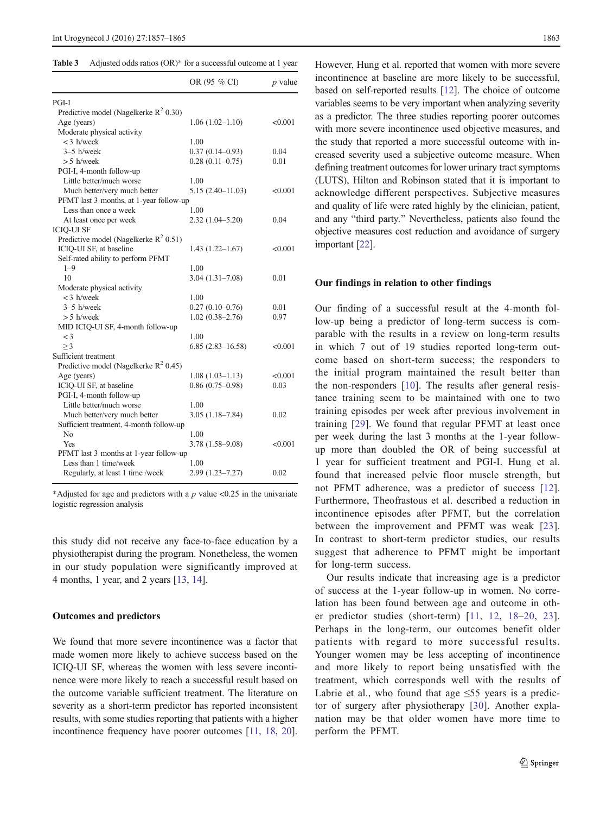<span id="page-6-0"></span>

| <b>Table 3</b> |  |  |  | Adjusted odds ratios (OR)* for a successful outcome at 1 year |
|----------------|--|--|--|---------------------------------------------------------------|
|----------------|--|--|--|---------------------------------------------------------------|

|                                                   | OR (95 % CI)         | $p$ value |
|---------------------------------------------------|----------------------|-----------|
| PGI-I                                             |                      |           |
| Predictive model (Nagelkerke R <sup>2</sup> 0.30) |                      |           |
| Age (years)                                       | $1.06(1.02 - 1.10)$  | < 0.001   |
| Moderate physical activity                        |                      |           |
| $<$ 3 h/week                                      | 1.00                 |           |
| $3-5$ h/week                                      | $0.37(0.14 - 0.93)$  | 0.04      |
| > 5 h/week                                        | $0.28(0.11-0.75)$    | 0.01      |
| PGI-I, 4-month follow-up                          |                      |           |
| Little better/much worse                          | 1.00                 |           |
| Much better/very much better                      | $5.15(2.40-11.03)$   | < 0.001   |
| PFMT last 3 months, at 1-year follow-up           |                      |           |
| Less than once a week                             | 1.00                 |           |
| At least once per week                            | $2.32(1.04 - 5.20)$  | 0.04      |
| <b>ICIQ-UI SF</b>                                 |                      |           |
| Predictive model (Nagelkerke $R^2$ 0.51)          |                      |           |
| ICIQ-UI SF, at baseline                           | $1.43(1.22 - 1.67)$  | < 0.001   |
| Self-rated ability to perform PFMT                |                      |           |
| $1 - 9$                                           | 1.00                 |           |
| 10                                                | $3.04(1.31 - 7.08)$  | 0.01      |
| Moderate physical activity                        |                      |           |
| $<$ 3 h/week                                      | 1.00                 |           |
| $3-5$ h/week                                      | $0.27(0.10-0.76)$    | 0.01      |
| $> 5$ h/week                                      | $1.02(0.38 - 2.76)$  | 0.97      |
| MID ICIQ-UI SF, 4-month follow-up                 |                      |           |
| $\lt$ 3                                           | 1.00                 |           |
| >3                                                | $6.85(2.83 - 16.58)$ | < 0.001   |
| Sufficient treatment                              |                      |           |
| Predictive model (Nagelkerke $R^2$ 0.45)          |                      |           |
| Age (years)                                       | $1.08(1.03 - 1.13)$  | < 0.001   |
| ICIQ-UI SF, at baseline                           | $0.86(0.75-0.98)$    | 0.03      |
| PGI-I, 4-month follow-up                          |                      |           |
| Little better/much worse                          | 1.00                 |           |
| Much better/very much better                      | $3.05(1.18 - 7.84)$  | 0.02      |
| Sufficient treatment, 4-month follow-up           |                      |           |
| No                                                | 1.00                 |           |
| <b>Yes</b>                                        | $3.78(1.58 - 9.08)$  | < 0.001   |
| PFMT last 3 months at 1-year follow-up            |                      |           |
| Less than 1 time/week                             | 1.00                 |           |
| Regularly, at least 1 time /week                  | $2.99(1.23 - 7.27)$  | 0.02      |
|                                                   |                      |           |

\*Adjusted for age and predictors with a  $p$  value <0.25 in the univariate logistic regression analysis

this study did not receive any face-to-face education by a physiotherapist during the program. Nonetheless, the women in our study population were significantly improved at 4 months, 1 year, and 2 years [[13](#page-7-0), [14](#page-7-0)].

#### Outcomes and predictors

We found that more severe incontinence was a factor that made women more likely to achieve success based on the ICIQ-UI SF, whereas the women with less severe incontinence were more likely to reach a successful result based on the outcome variable sufficient treatment. The literature on severity as a short-term predictor has reported inconsistent results, with some studies reporting that patients with a higher incontinence frequency have poorer outcomes [\[11,](#page-7-0) [18,](#page-7-0) [20](#page-8-0)].

However, Hung et al. reported that women with more severe incontinence at baseline are more likely to be successful, based on self-reported results [\[12](#page-7-0)]. The choice of outcome variables seems to be very important when analyzing severity as a predictor. The three studies reporting poorer outcomes with more severe incontinence used objective measures, and the study that reported a more successful outcome with increased severity used a subjective outcome measure. When defining treatment outcomes for lower urinary tract symptoms (LUTS), Hilton and Robinson stated that it is important to acknowledge different perspectives. Subjective measures and quality of life were rated highly by the clinician, patient, and any "third party." Nevertheless, patients also found the objective measures cost reduction and avoidance of surgery important [\[22](#page-8-0)].

## Our findings in relation to other findings

Our finding of a successful result at the 4-month follow-up being a predictor of long-term success is comparable with the results in a review on long-term results in which 7 out of 19 studies reported long-term outcome based on short-term success; the responders to the initial program maintained the result better than the non-responders [\[10\]](#page-7-0). The results after general resistance training seem to be maintained with one to two training episodes per week after previous involvement in training [[29](#page-8-0)]. We found that regular PFMT at least once per week during the last 3 months at the 1-year followup more than doubled the OR of being successful at 1 year for sufficient treatment and PGI-I. Hung et al. found that increased pelvic floor muscle strength, but not PFMT adherence, was a predictor of success [\[12](#page-7-0)]. Furthermore, Theofrastous et al. described a reduction in incontinence episodes after PFMT, but the correlation between the improvement and PFMT was weak [[23](#page-8-0)]. In contrast to short-term predictor studies, our results suggest that adherence to PFMT might be important for long-term success.

Our results indicate that increasing age is a predictor of success at the 1-year follow-up in women. No correlation has been found between age and outcome in other predictor studies (short-term) [\[11,](#page-7-0) [12](#page-7-0), [18](#page-7-0)–[20,](#page-8-0) [23](#page-8-0)]. Perhaps in the long-term, our outcomes benefit older patients with regard to more successful results. Younger women may be less accepting of incontinence and more likely to report being unsatisfied with the treatment, which corresponds well with the results of Labrie et al., who found that age  $\leq 55$  years is a predictor of surgery after physiotherapy [[30](#page-8-0)]. Another explanation may be that older women have more time to perform the PFMT.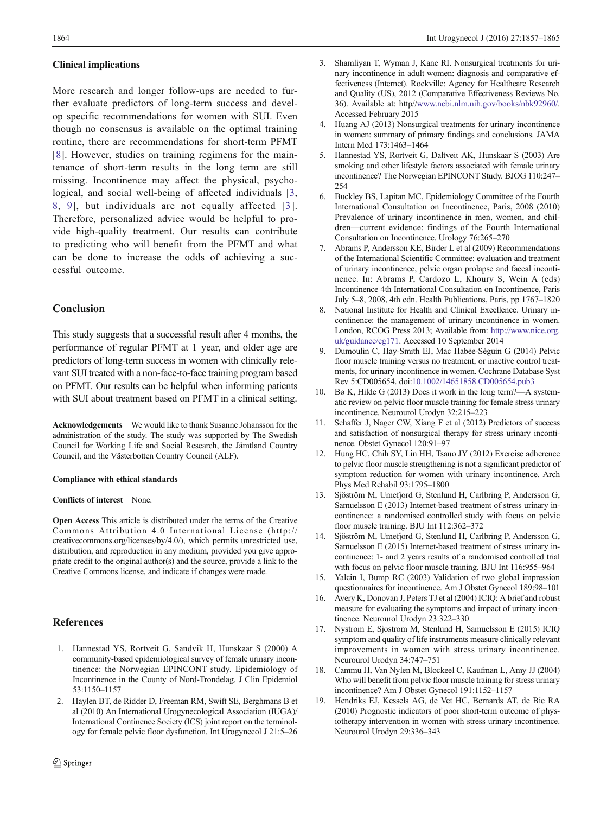#### <span id="page-7-0"></span>Clinical implications

More research and longer follow-ups are needed to further evaluate predictors of long-term success and develop specific recommendations for women with SUI. Even though no consensus is available on the optimal training routine, there are recommendations for short-term PFMT [8]. However, studies on training regimens for the maintenance of short-term results in the long term are still missing. Incontinence may affect the physical, psychological, and social well-being of affected individuals [3, 8, 9], but individuals are not equally affected [3]. Therefore, personalized advice would be helpful to provide high-quality treatment. Our results can contribute to predicting who will benefit from the PFMT and what can be done to increase the odds of achieving a successful outcome.

#### **Conclusion**

This study suggests that a successful result after 4 months, the performance of regular PFMT at 1 year, and older age are predictors of long-term success in women with clinically relevant SUI treated with a non-face-to-face training program based on PFMT. Our results can be helpful when informing patients with SUI about treatment based on PFMT in a clinical setting.

Acknowledgements We would like to thank Susanne Johansson for the administration of the study. The study was supported by The Swedish Council for Working Life and Social Research, the Jämtland Country Council, and the Västerbotten Country Council (ALF).

#### Compliance with ethical standards

#### Conflicts of interest None.

Open Access This article is distributed under the terms of the Creative Commons Attribution 4.0 International License (http:// creativecommons.org/licenses/by/4.0/), which permits unrestricted use, distribution, and reproduction in any medium, provided you give appropriate credit to the original author(s) and the source, provide a link to the Creative Commons license, and indicate if changes were made.

# **References**

- 1. Hannestad YS, Rortveit G, Sandvik H, Hunskaar S (2000) A community-based epidemiological survey of female urinary incontinence: the Norwegian EPINCONT study. Epidemiology of Incontinence in the County of Nord-Trondelag. J Clin Epidemiol 53:1150–1157
- 2. Haylen BT, de Ridder D, Freeman RM, Swift SE, Berghmans B et al (2010) An International Urogynecological Association (IUGA)/ International Continence Society (ICS) joint report on the terminology for female pelvic floor dysfunction. Int Urogynecol J 21:5–26
- 3. Shamliyan T, Wyman J, Kane RI. Nonsurgical treatments for urinary incontinence in adult women: diagnosis and comparative effectiveness (Internet). Rockville: Agency for Healthcare Research and Quality (US), 2012 (Comparative Effectiveness Reviews No. 36). Available at: http/[/www.ncbi.nlm.nih.gov/books/nbk92960/](http://www.ncbi.nlm.nih.gov/books/nbk92960/). Accessed February 2015
- Huang AJ (2013) Nonsurgical treatments for urinary incontinence in women: summary of primary findings and conclusions. JAMA Intern Med 173:1463–1464
- 5. Hannestad YS, Rortveit G, Daltveit AK, Hunskaar S (2003) Are smoking and other lifestyle factors associated with female urinary incontinence? The Norwegian EPINCONT Study. BJOG 110:247– 254
- 6. Buckley BS, Lapitan MC, Epidemiology Committee of the Fourth International Consultation on Incontinence, Paris, 2008 (2010) Prevalence of urinary incontinence in men, women, and children—current evidence: findings of the Fourth International Consultation on Incontinence. Urology 76:265–270
- 7. Abrams P, Andersson KE, Birder L et al (2009) Recommendations of the International Scientific Committee: evaluation and treatment of urinary incontinence, pelvic organ prolapse and faecal incontinence. In: Abrams P, Cardozo L, Khoury S, Wein A (eds) Incontinence 4th International Consultation on Incontinence, Paris July 5–8, 2008, 4th edn. Health Publications, Paris, pp 1767–1820
- 8. National Institute for Health and Clinical Excellence. Urinary incontinence: the management of urinary incontinence in women. London, RCOG Press 2013; Available from: [http://www.nice.org.](http://www.nice.org.uk/guidance/cg171) [uk/guidance/cg171.](http://www.nice.org.uk/guidance/cg171) Accessed 10 September 2014
- 9. Dumoulin C, Hay-Smith EJ, Mac Habée-Séguin G (2014) Pelvic floor muscle training versus no treatment, or inactive control treatments, for urinary incontinence in women. Cochrane Database Syst Rev 5:CD005654. doi:[10.1002/14651858.CD005654.pub3](http://dx.doi.org/10.1002/14651858.CD005654.pub3)
- 10. Bø K, Hilde G (2013) Does it work in the long term?—A systematic review on pelvic floor muscle training for female stress urinary incontinence. Neurourol Urodyn 32:215–223
- 11. Schaffer J, Nager CW, Xiang F et al (2012) Predictors of success and satisfaction of nonsurgical therapy for stress urinary incontinence. Obstet Gynecol 120:91–97
- 12. Hung HC, Chih SY, Lin HH, Tsauo JY (2012) Exercise adherence to pelvic floor muscle strengthening is not a significant predictor of symptom reduction for women with urinary incontinence. Arch Phys Med Rehabil 93:1795–1800
- 13. Sjöström M, Umefjord G, Stenlund H, Carlbring P, Andersson G, Samuelsson E (2013) Internet-based treatment of stress urinary incontinence: a randomised controlled study with focus on pelvic floor muscle training. BJU Int 112:362–372
- 14. Sjöström M, Umefjord G, Stenlund H, Carlbring P, Andersson G, Samuelsson E (2015) Internet-based treatment of stress urinary incontinence: 1- and 2 years results of a randomised controlled trial with focus on pelvic floor muscle training. BJU Int 116:955–964
- 15. Yalcin I, Bump RC (2003) Validation of two global impression questionnaires for incontinence. Am J Obstet Gynecol 189:98–101
- 16. Avery K, Donovan J, Peters TJ et al (2004) ICIQ: A brief and robust measure for evaluating the symptoms and impact of urinary incontinence. Neurourol Urodyn 23:322–330
- 17. Nystrom E, Sjostrom M, Stenlund H, Samuelsson E (2015) ICIQ symptom and quality of life instruments measure clinically relevant improvements in women with stress urinary incontinence. Neurourol Urodyn 34:747–751
- 18. Cammu H, Van Nylen M, Blockeel C, Kaufman L, Amy JJ (2004) Who will benefit from pelvic floor muscle training for stress urinary incontinence? Am J Obstet Gynecol 191:1152–1157
- 19. Hendriks EJ, Kessels AG, de Vet HC, Bernards AT, de Bie RA (2010) Prognostic indicators of poor short-term outcome of physiotherapy intervention in women with stress urinary incontinence. Neurourol Urodyn 29:336–343